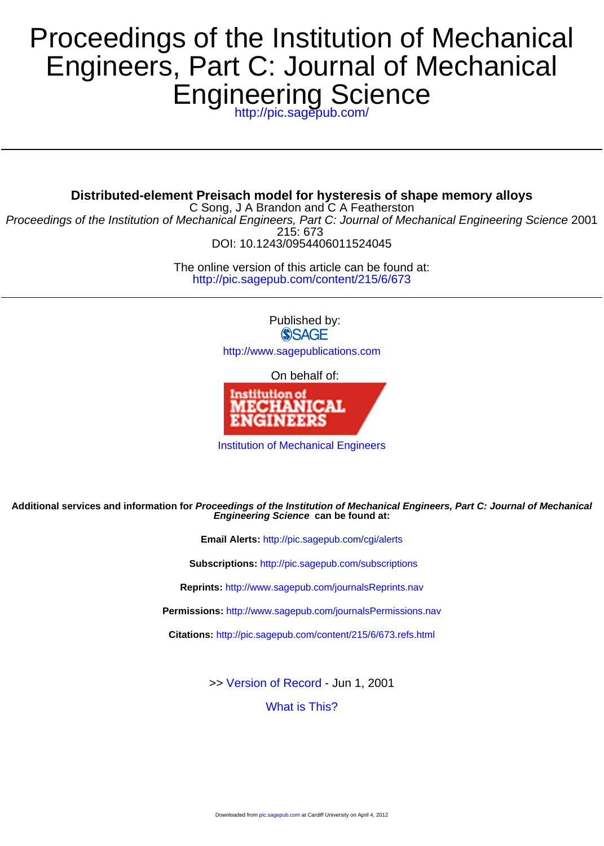## Engineering Science Engineers, Part C: Journal of Mechanical Proceedings of the Institution of Mechanical

<http://pic.sagepub.com/>

**Distributed-element Preisach model for hysteresis of shape memory alloys**

DOI: 10.1243/0954406011524045 215: 673 Proceedings of the Institution of Mechanical Engineers, Part C: Journal of Mechanical Engineering Science 2001 C Song, J A Brandon and C A Featherston

> <http://pic.sagepub.com/content/215/6/673> The online version of this article can be found at:

> > Published by: **SSAGE**

<http://www.sagepublications.com>

On behalf of:



[Institution of Mechanical Engineers](http://www.imeche.org/home)

#### **Engineering Science can be found at: Additional services and information for Proceedings of the Institution of Mechanical Engineers, Part C: Journal of Mechanical**

**Email Alerts:** <http://pic.sagepub.com/cgi/alerts>

**Subscriptions:** <http://pic.sagepub.com/subscriptions>

**Reprints:** <http://www.sagepub.com/journalsReprints.nav>

**Permissions:** <http://www.sagepub.com/journalsPermissions.nav>

**Citations:** <http://pic.sagepub.com/content/215/6/673.refs.html>

>> [Version of Record -](http://pic.sagepub.com/content/215/6/673.full.pdf) Jun 1, 2001

[What is This?](http://online.sagepub.com/site/sphelp/vorhelp.xhtml)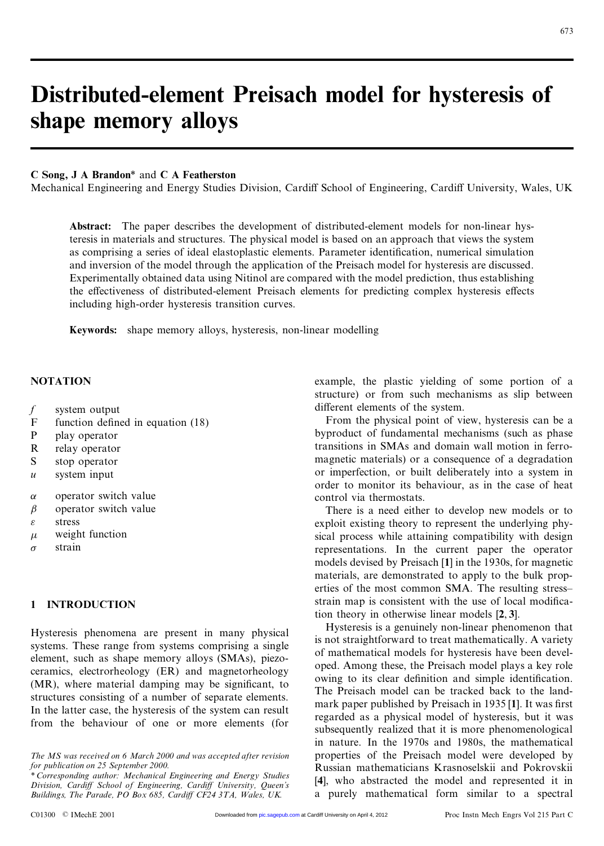# **Distributed-element Preisach model for hysteresis of shane memory alloys Distributed-element Pre**<br>shape memory alloys

#### **C Song, J A Brandon**\* and **C A Featherston**

Mechanical Engineering and Energy Studies Division, Cardiff School of Engineering, Cardiff University, Wales, UK

**Abstract:** The paper describes the development of distributed-element models for non-linear hys-<br>teresis in materials and structures. The physical model is based on an approach that views the system Abstract: The paper describes the development of distributed-element models for non-linear hys-<br>teresis in materials and structures. The physical model is based on an approach that views the system<br>as comprising a series o teresis in materials and structures. The physical model is based on an approach that views the system<br>as comprising a series of ideal elastoplastic elements. Parameter identification, numerical simulation and inversion of the model through the application of the Preisach model for hysteresis are discussed. as comprising a series of ideal elastoplastic elements. Parameter identification, numerical simulation<br>and inversion of the model through the application of the Preisach model for hysteresis are discussed.<br>Experimentally o and inversion of the model through the application of the Preisach model for hysteresis are discussed.<br>Experimentally obtained data using Nitinol are compared with the model prediction, thus establishing<br>the effectiveness the effectiveness of distributed-element Preisach elements for predicting complex hysteresis effects including high-order hysteresis transition curves.

**Keywords:** shape memory alloys, hysteresis, non-linear modelling

#### **NOTATION**

- *f* system output<br>F function define
- f system output<br>F function defined in equation (18)<br>P play operator  $\begin{array}{ccc} f & \text{system output} \\ F & \text{function defined} \\ P & \text{play operator} \\ P & \text{relav operator} \end{array}$ F function defined<br>P play operator<br>R relay operator<br>S stop operator
- 
- P play operator<br>R relay operator<br>S stop operator<br>wstem input **R** relay operator<br>**S** stop operator<br>*u* system input
- 
- 
- S stop operator<br>  $u$  system input<br>  $\alpha$  operator switch value<br>  $\beta$  operator switch value
- $\alpha$  operator switch value<br> $\beta$  operator switch value  $\beta$  operator switch val<br>  $\varepsilon$  stress<br>  $\mu$  weight function<br>  $\sigma$  strain
- $\varepsilon$  stress
- 
- $\sigma$  strain

### **1 INTRODUCTION**

Hysteresis phenomena are present in many physical Hysteresis phenomena are present in many physical systems. These range from systems comprising a single element, such as shape memory allows  $(SMA s)$ , piezo-Hysteresis phenomena are present in many physical<br>systems. These range from systems comprising a single<br>element, such as shape memory alloys (SMAs), piezo-<br>ceramics electrorheology (ER) and magnetorheology element, such as shape memory alloys (SMAs), piezo-<br>ceramics, electrorheology (ER) and magnetorheology<br>(MR), where material damping may be significant, to ceramics, electrorheology (ER) and magnetorheology ceramics, electrorheology (ER) and magnetorheology<br>(MR), where material damping may be significant, to<br>structures consisting of a number of separate elements.<br>In the latter case, the hysteresis of the system can result (MR), where material damping may be significant, to structures consisting of a number of separate elements.<br>In the latter case, the hysteresis of the system can result from the behaviour of one or more elements (for In the latter case, the hysteresis of the system can result<br>from the behaviour of one or more elements (for

example, the plastic yielding of some portion of a<br>structure) or from such mechanisms as slip between example, the plastic yielding of some portion of a<br>structure) or from such mechanisms as slip between<br>different elements of the system structure) or from such mechanisms as slip between different elements of the system.

From the physical point of view, hysteresis can be a different elements of the system.<br>
From the physical point of view, hysteresis can be a<br>
byproduct of fundamental mechanisms (such as phase<br>
transitions in SMAs and domain wall motion in ferro-From the physical point of view, hysteresis can be a<br>byproduct of fundamental mechanisms (such as phase<br>transitions in SMAs and domain wall motion in ferro-<br>magnetic materials) or a consequence of a degradation transitions in SMAs and domain wall motion in ferromagnetic materials) or a consequence of a degradation transitions in SMAs and domain wall motion in ferro-<br>magnetic materials) or a consequence of a degradation<br>or imperfection, or built deliberately into a system in<br>order to monitor its behaviour, as in the case of heat magnetic materials) or a consequence of a degradation<br>or imperfection, or built deliberately into a system in<br>order to monitor its behaviour, as in the case of heat<br>control via thermostats order to monitor its behaviour, as in the case of heat control via thermostats. der to monitor its behaviour, as in the case of heat<br>ntrol via thermostats.<br>There is a need either to develop new models or to<br>ploit existing theory to represent the underlying phy-

control via thermostats.<br>There is a need either to develop new models or to<br>exploit existing theory to represent the underlying phy-<br>sical process while attaining compatibility with design There is a need either to develop new models or to<br>exploit existing theory to represent the underlying phy-<br>sical process while attaining compatibility with design<br>representations. In the current paper, the operator exploit existing theory to represent the underlying physical process while attaining compatibility with design<br>representations. In the current paper the operator<br>models devised by Prejaach [1] in the 1930s for magnetic sical process while attaining compatibility with design<br>representations. In the current paper the operator<br>models devised by Preisach [1] in the 1930s, for magnetic<br>materials are demonstrated to apply to the bulk proprepresentations. In the current paper the operator models devised by Preisach [1] in the 1930s, for magnetic materials, are demonstrated to apply to the bulk prop-<br>erties of the most common SMA. The resulting stressmaterials, are demonstrated to apply to the bulk properties of the most common SMA. The resulting stressmaterials, are demonstrated to apply to the bulk properties of the most common SMA. The resulting stress-<br>strain map is consistent with the use of local modifica-<br>tion theory in otherwise linear models [2, 3] erties of the most common SMA. The result<br>strain map is consistent with the use of local<br>tion theory in otherwise linear models [2, 3].<br>Hysteresis is a genuinely non-linear phenom iain map is consistent with the use of local modifica-<br>in theory in otherwise linear models [2, 3].<br>Hysteresis is a genuinely non-linear phenomenon that<br>not straightforward to treat mathematically. A variety

tion theory in otherwise linear models [2, 3].<br>
Hysteresis is a genuinely non-linear phenomenon that<br>
is not straightforward to treat mathematically. A variety<br>
of mathematical models for hysteresis have been devel-Hysteresis is a genuinely non-linear phenomenon that<br>is not straightforward to treat mathematically. A variety<br>of mathematical models for hysteresis have been devel-<br>oned. Among these, the Prejaach model plays a key role is not straightforward to treat mathematically. A variety<br>of mathematical models for hysteresis have been devel-<br>oped. Among these, the Preisach model plays a key role<br>owing to its clear definition and simple identificatio of mathematical models for hysteresis have been devel-<br>oped. Among these, the Preisach model plays a key role<br>owing to its clear definition and simple identification.<br>The Preisach model can be tracked back to the landoped. Among these, the Preisach model plays a key role<br>owing to its clear definition and simple identification.<br>The Preisach model can be tracked back to the land-<br>mark paper published by Preisach in 1935 [1]. It was first The Preisach model can be tracked back to the land-<br>mark paper published by Preisach in 1935 [1]. It was first The Preisach model can be tracked back to the land-<br>mark paper published by Preisach in 1935 [1]. It was first<br>regarded as a physical model of hysteresis, but it was<br>subsequently realized that it is more phenomenological mark paper published by Preisach in 1935 [1]. It was first<br>regarded as a physical model of hysteresis, but it was<br>subsequently realized that it is more phenomenological<br>in nature. In the 1970s and 1980s, the mathematical regarded as a physical model of hysteresis, but it was<br>subsequently realized that it is more phenomenological<br>in nature. In the 1970s and 1980s, the mathematical<br>properties of the Preisach model were developed by subsequently realized that it is more phenomenological<br>in nature. In the 1970s and 1980s, the mathematical<br>properties of the Preisach model were developed by<br>Russian mathematicians Krasnoselskii and Pokrowskii in nature. In the 1970s and 1980s, the mathematical<br>properties of the Preisach model were developed by<br>Russian mathematicians Krasnoselskii and Pokrovskii<br>[4] who abstracted the model and represented it in properties of the Preisach model were developed by<br>Russian mathematicians Krasnoselskii and Pokrovskii<br>[4], who abstracted the model and represented it in<br>a purely mathematical form similar to a spectral Russian mathematicians Krasnoselskii and Pokrovskii<br>[4], who abstracted the model and represented it in<br>a purely mathematical form similar to a spectral Buildings, The Parade, PO Box 685, Cardiff CF24 3TA, Wales, UK. a purely mathematical form Simmat to a spectral<br>C01300 © IMechE 2001 Downloaded from [pic.sagepub.com](http://pic.sagepub.com/) at Cardiff University on April 4, 2012 Proc Instn Mech En

*The MS was received on 6 March 2000 and was accepted after revision fhe MS was received on 6 March 2000*<br>*for publication on 25 September 2000.*<br>\* Corresponding author: Mechanical Fr *\* Corresponding author: Mechanical Engineering and Energy Studies*

*for publication on 25 September 2000.*<br>\* Corresponding author: Mechanical Engineering and Energy Studies<br>Division, Cardiff School of Engineering, Cardiff University, Queen's<br>Buildings The Parade PO Box 685 Cardiff CF24 3T *Buildings, The Parade, PO Box 685, Cardi<sup>V</sup> CF24 3TA, Wales, UK.*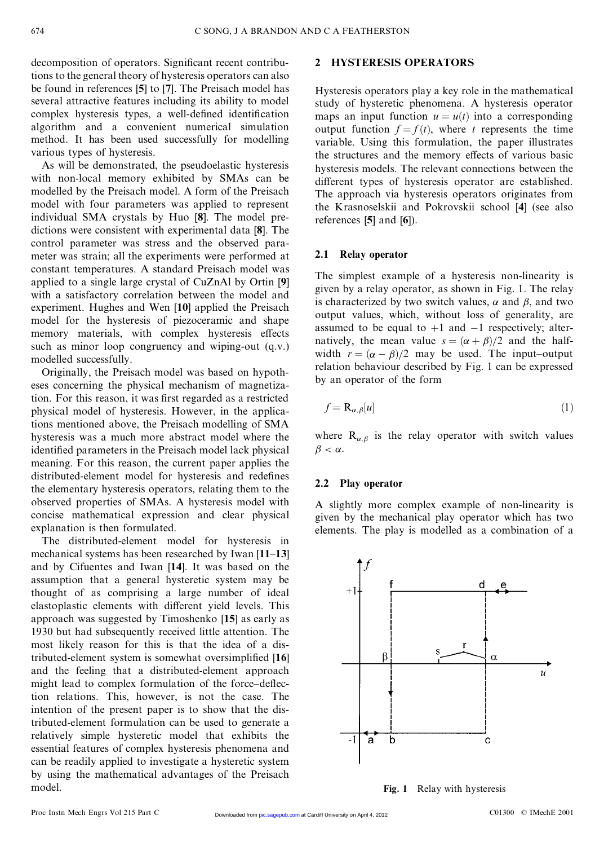674 C SONG, J A BRANDO<br>decomposition of operators. Significant recent contribudecomposition of operators. Significant recent contribu-<br>tions to the general theory of hysteresis operators can also<br>be found in references [5] to [7]. The Preisach model has decomposition of operators. Significant recent contribu-<br>tions to the general theory of hysteresis operators can also<br>be found in references [5] to [7]. The Preisach model has<br>several attractive features including its abil be found in references [5] to [7]. The Preisach model has several attractive features including its ability to model be found in references [5] to [7]. The Preisach model has<br>several attractive features including its ability to model<br>complex hysteresis types, a well-defined identification<br>algorithm and a convenient numerical simulation several attractive features including its ability to model<br>complex hysteresis types, a well-defined identification<br>algorithm and a convenient numerical simulation<br>method. It has been used successfully for modelling algorithm and a convenient numerical simulation method. It has been used successfully for modelling various types of hysteresis.

As will be demonstrated, the pseudoelastic hysteresis various types of hysteresis.<br>As will be demonstrated, the pseudoelastic hysteresis<br>with non-local memory exhibited by SMAs can be<br>modelled by the Preisach model A form of the Preisach As will be demonstrated, the pseudoelastic hysteresis<br>with non-local memory exhibited by SMAs can be<br>modelled by the Preisach model. A form of the Preisach<br>model with four parameters was applied to represent with non-local memory exhibited by SMAs can be<br>modelled by the Preisach model. A form of the Preisach<br>model with four parameters was applied to represent<br>individual SMA crystals by Huo ISU. The model premodelled by the Preisach model. A form of the Preisach<br>model with four parameters was applied to represent<br>individual SMA crystals by Huo [8]. The model pre-<br>dictions were consistent with experimental data [8]. The individual SMA crystals by Huo [8]. The model predictions were consistent with experimental data [8]. The control parameter was stress and the observed paradictions were consistent with experimental data [8]. The meter was strain; all the experiments were performed at control parameter was stress and the observed para-<br>meter was strain; all the experiments were performed at<br>constant temperatures. A standard Preisach model was<br>applied to a single large crystal of CuZnAl by Ortin [9] meter was strain; all the experiments were performed at<br>constant temperatures. A standard Preisach model was<br>applied to a single large crystal of CuZnAl by Ortin [9]<br>with a satisfactory correlation between the model and constant temperatures. A standard Preisach model was<br>applied to a single large crystal of CuZnAl by Ortin [9]<br>with a satisfactory correlation between the model and<br>experiment Hughes and Wen [10] applied the Preisach applied to a single large crystal of CuZnAl by Ortin [9]<br>with a satisfactory correlation between the model and<br>experiment. Hughes and Wen [10] applied the Preisach<br>model for the hysteresis of niezoceramic and shape experiment. Hughes and Wen [10] applied the Preisach model for the hysteresis of piezoceramic and shape experiment. Hughes and Wen  $[10]$  applied the Preisach<br>model for the hysteresis of piezoceramic and shape<br>memory materials, with complex hysteresis effects<br>such as minor loop congruency and wining-out  $(a, y)$ model for the hysteresis of piezoceramic and shape<br>memory materials, with complex hysteresis effects<br>such as minor loop congruency and wiping-out (q.v.)<br>modelled successfully such as minor loop congruency and wiping-out (q.v.) modelled successfully.

Originally, the Preisach model was based on hypothmodelled successfully.<br>
Originally, the Preisach model was based on hypotheses concerning the physical mechanism of magnetiza-<br>
tion For this reason it was first regarded as a restricted Originally, the Preisach model was based on hypotheses concerning the physical mechanism of magnetization. For this reason, it was first regarded as a restricted physical model of hysteresis. However, in the application. For this reason, it was first regarded as a restricted physical model of hysteresis. However, in the applica-<br>tions mentioned above, the Preisach modelling of SMA<br>hysteresis was a much more abstract model where the tions mentioned above, the Preisach modelling of SMA tions mentioned above, the Preisach modelling of SMA<br>hysteresis was a much more abstract model where the<br>identified parameters in the Preisach model lack physical<br>meaning. For this reason, the current paper applies the hysteresis was a much more abstract model where the<br>identified parameters in the Preisach model lack physical<br>meaning. For this reason, the current paper applies the<br>distributed-element model for hysteresis and redefines meaning. For this reason, the current paper applies the distributed-element model for hysteresis and redefines the elementary hysteresis operators, relating them to the distributed-element model for hysteresis and redefines observed properties of SMAs. A hysteresis model with the elementary hysteresis operators, relating them to the<br>observed properties of SMAs. A hysteresis model with<br>concise mathematical expression and clear physical<br>explanation is then formulated observed properties of SMAs. A<br>concise mathematical expression<br>explanation is then formulated.<br>The distributed element mod explanation is then formulated.<br>The distributed-element model for hysteresis in

explanation is then formulated.<br>The distributed-element model for hysteresis in<br>mechanical systems has been researched by Iwan [**11–13**]<br>and by Cifuentes and Iwan [**14**] It was based on the The distributed-element model for hysteresis in<br>mechanical systems has been researched by Iwan [11–13]<br>and by Cifuentes and Iwan [14]. It was based on the<br>assumption that a general hysteretic system may be and by Cifuentes and Iwan [14]. It was based on the assumption that a general hysteretic system may be and by Cifuentes and Iwan [14]. It was based on the assumption that a general hysteretic system may be thought of as comprising a large number of ideal elastoplastic elements with different vield levels. This assumption that a general hysteretic system may be<br>thought of as comprising a large number of ideal<br>elastoplastic elements with different yield levels. This<br>annroach was suggested by Timoshenko [15] as early as elastoplastic elements with different yield levels. This<br>approach was suggested by Timoshenko [15] as early as<br>1930 but had subsequently received little attention. The approach was suggested by Timoshenko [15] as early as approach was suggested by Timoshenko [15] as early as<br>1930 but had subsequently received little attention. The<br>most likely reason for this is that the idea of a dis-<br>tributed element system is somewhat oversimplified [16] 1930 but had subsequently received little attention. The<br>most likely reason for this is that the idea of a dis-<br>tributed-element system is somewhat oversimplified [16]<br>and the feeling that a distributed-element approach tributed-element system is somewhat oversimplified [16] and the feeling that a distributed-element approach tributed-element system is somewhat oversimplified [16]<br>and the feeling that a distributed-element approach<br>might lead to complex formulation of the force-deflec-<br>tion relations. This however, is not the case. The and the feeling that a distributed-element approach<br>might lead to complex formulation of the force-deflec-<br>tion relations. This, however, is not the case. The<br>intention of the present paper is to show that the distion relations. This, however, is not the case. The intention of the present paper is to show that the distion relations. This, however, is not the case. The<br>intention of the present paper is to show that the dis-<br>tributed-element formulation can be used to generate a<br>relatively simple hysteratic model that exhibits the intention of the present paper is to show that the dis-<br>tributed-element formulation can be used to generate a<br>relatively simple hysteretic model that exhibits the<br>essential features of complex hysteresis phenomena and tributed-element formulation can be used to generate a<br>relatively simple hysteretic model that exhibits the<br>essential features of complex hysteresis phenomena and<br>can be readily applied to investigate a hysteretic system relatively simple hysteretic model that exhibits the<br>essential features of complex hysteresis phenomena and<br>can be readily applied to investigate a hysteretic system<br>by using the mathematical advantages of the Prejach by using the mathematical advantages of the Preisach model.

#### **2 HYSTERESIS OPERATORS**

2 HYSTERESIS OPERATORS<br>Hysteresis operators play a key role in the mathematical<br>study of hysteretic phenomena. A hysteresis operator Hysteresis operators play a key role in the mathematical<br>study of hysteretic phenomena. A hysteresis operator<br>mans an input function  $u = u(t)$  into a corresponding Hysteresis operators play a key role in the mathematical<br>study of hysteretic phenomena. A hysteresis operator<br>maps an input function  $u = u(t)$  into a corresponding<br>output function  $f = f(t)$ , where t represents the time<br>variab study of hysteretic phenomena. A hysteresis operator maps an input function  $u = u(t)$  into a corresponding output function  $f = f(t)$ , where *t* represents the time variable. Using this formulation, the paper illustrates the s variable. Using this formulation, the paper illustrates the structures and the memory effects of various basic variable. Using this formulation, the paper illustrates<br>the structures and the memory effects of various basic<br>hysteresis models. The relevant connections between the<br>different types of hysteresis operator are established the structures and the memory effects of various basic<br>hysteresis models. The relevant connections between the<br>different types of hysteresis operator are established.<br>The annroach via hysteresis operators originates from different types of hysteresis operator are established.<br>The approach via hysteresis operators originates from different types of hysteresis operator are established.<br>The approach via hysteresis operators originates from<br>the Krasnoselskii and Pokrovskii school [4] (see also<br>references [5] and [6]) The approach via hyste<br>the Krasnoselskii and l<br>references [**5**] and [**6**]).

#### **2.1 Relay operator**

2.1 **Relay operator**<br>The simplest example of a hysteresis non-linearity is<br>given by a relay operator, as shown in Fig. 1. The relay The simplest example of a hysteresis non-linearity is<br>given by a relay operator, as shown in Fig. 1. The relay<br>is characterized by two switch values  $\alpha$  and  $\beta$  and two given by a relay operator, as shown in Fig. 1. The relay is characterized by two switch values,  $\alpha$  and  $\beta$ , and two output values, which, without loss of generality, are is characterized by two switch values,  $\alpha$  and  $\beta$ , and two is characterized by two switch values,  $\alpha$  and  $\beta$ , and two<br>output values, which, without loss of generality, are<br>assumed to be equal to  $+1$  and  $-1$  respectively; alter-<br>natively the mean value  $s - (\alpha + \beta)/2$  and the hal output values, which, without loss of generality, are<br>assumed to be equal to +1 and -1 respectively; alter-<br>natively, the mean value  $s = (\alpha + \beta)/2$  and the half-<br>width  $r = (\alpha - \beta)/2$  may be used. The input-output<br>relation behav natively, the mean value  $s = (\alpha + \beta)/2$  and the half-<br>width  $r = (\alpha - \beta)/2$  may be used. The input-output<br>relation behaviour described by Fig. 1 can be expressed<br>by an operator of the form width  $r = (\alpha - \beta)/2$  may be used. The input-output relation behaviour described by Fig. 1 can be expressed

$$
f = \mathbf{R}_{\alpha,\beta}[u]
$$
 (1)

 $J = \mathbf{R}_{\alpha,\beta}[u]$  (1)<br>where  $\mathbf{R}_{\alpha,\beta}$  is the relay operator with switch values where **F**<br> $\beta < \alpha$ .  $\beta < \alpha$ .<br> **2.2 Play operator** 

A slightly more complex example of non-linearity is A slightly more complex example of non-linearity is<br>given by the mechanical play operator which has two<br>elements. The play is modelled as a combination of a A slightly more complex example of non-linearity is<br>given by the mechanical play operator which has two<br>elements. The play is modelled as a combination of a



**Fig. 1** Relay with hysteresis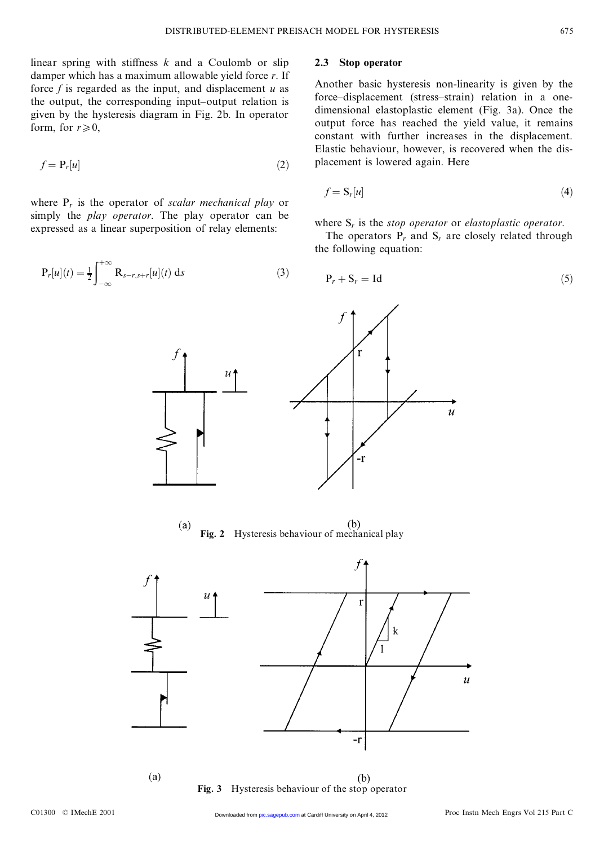$\frac{1}{2}$ <br>linear spring with stiffness *k* and a Coulomb or slip<br>damner which has a maximum allowable yield force *r*. If linear spring with stiffness  $k$  and a Coulomb or slip damper which has a maximum allowable yield force  $r$ . If force  $f$  is regarded as the input and displacement  $u$  as damper which has a maximum allowable yield force *r*. If force  $f$  is regarded as the input, and displacement  $u$  as the output, the corresponding input-output relation is given by the hysteresis diagram in Fig. 2b. In operator form, for  $r \ge 0$ , given by the hysteresis diagram in Fig. 2b. In operator

$$
f = \mathbf{P}_r[u] \tag{2}
$$

where  $P_r$  is the operator of *scalar mechanical play* or<br>
simply the *play operator*. The play operator can be where  $P_r$  is the operator of *scalar mechanical play* or simply the *play operator*. The play operator can be expressed as a linear superposition of relay elements: where  $P_r$  is the operator of *scalar mechanical play* or<br>simply the *play operator*. The play operator can be<br>expressed as a linear superposition of relay elements:

$$
P_r[u](t) = \frac{1}{2} \int_{-\infty}^{+\infty} R_{s-r,s+r}[u](t) \, ds \tag{3}
$$

 $\overline{u}$ 

#### **2.3 Stop operator**

Another basic hysteresis non-linearity is given by the Another basic hysteresis non-linearity is given by the force-displacement (stress-strain) relation in a one-<br>dimensional elastoplastic element (Fig. 3a). Once the Another basic hysteresis non-linearity is given by the<br>force–displacement (stress–strain) relation in a one-<br>dimensional elastoplastic element (Fig. 3a). Once the<br>output force has reached the vield value it remains force-displacement (stress-strain) relation in a one-<br>dimensional elastoplastic element (Fig. 3a). Once the<br>output force has reached the yield value, it remains<br>constant with further increases in the displacement dimensional elastoplastic element (Fig. 3a). Once the<br>output force has reached the yield value, it remains<br>constant with further increases in the displacement.<br>Elastic behaviour however is recovered when the disconstant with further increases in the displacement.<br>Elastic behaviour, however, is recovered when the dis-<br>placement is lowered again. Here Elastic behaviour, however, is recovered when the dis-

$$
f = \mathbf{S}_r[u] \tag{4}
$$

where  $S_r$  is the *stop operator* or *elastoplastic operator*.<br>The operators  $P_r$  and  $S_r$  are closely related through the following equation: The operators  $P_r$  and  $S_r$  are closely related through the following equation:

$$
P_r + S_r = Id \tag{5}
$$

 $\overline{\mathcal{U}}$ 



**Fig. 2** Hysteresis behaviour of mechanical play



**Fig. 3** Hysteresis behaviour of the stop operator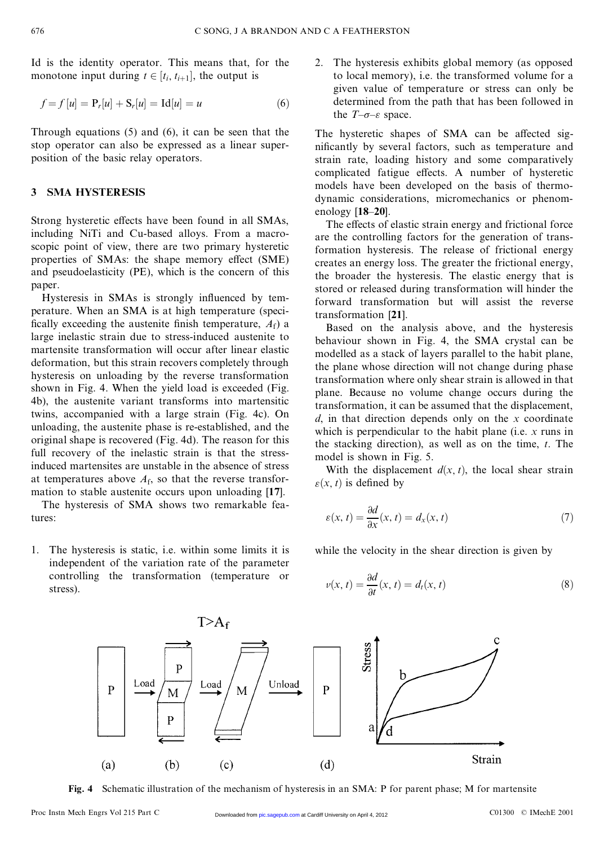EXEC SONG, J A BRANDO<br>Id is the identity operator. This means that, for the Id is the identity operator. This means that, for<br>monotone input during  $t \in [t_i, t_{i+1}]$ , the output is<br> $f - f[u] - P[u] + S[u] - Id[u] - u$ 

onotone input during 
$$
t \in [t_i, t_{i+1}]
$$
, the output is  
\n
$$
f = f[u] = P_r[u] + S_r[u] = Id[u] = u
$$
\n(6)

 $T = J[u] = P_r[u] + S_r[u] = Id[u] = u$  (6)<br>Through equations (5) and (6), it can be seen that the<br>stop operator can also be expressed as a linear super-Through equations  $(5)$  and  $(6)$ , it can be seen that the stop operator can also be expressed as a linear super-<br>position of the basic relay operators Through equations  $(5)$  and  $(6)$ , it can<br>stop operator can also be expressed a<br>position of the basic relay operators.

#### **3 SMA HYSTERESIS**

Strong hysteretic effects have been found in all SMAs, including NiTi and Cu-based alloys. From a macro-Strong hysteretic effects have been found in all SMAs,<br>including NiTi and Cu-based alloys. From a macro-<br>scopic point of view, there are two primary hysteretic<br>properties of SMAs: the shape memory effect (SME) including NiTi and Cu-based alloys. From a macroscopic point of view, there are two primary hysteretic properties of SMAs: the shape memory effect (SME) and pseudoelasticity (PE) which is the concern of this properties of SMAs: the shape memory effect (SME) and pseudoelasticity (PE), which is the concern of this paper.

Hysteresis in SMAs is strongly influenced by tempaper.<br>
Hysteresis in SMAs is strongly influenced by tem-<br>
perature. When an SMA is at high temperature (speci-<br>
fically exceeding the austenite finish temperature  $A_0$ ) a Hysteresis in SMAs is strongly influenced by tem-<br>perature. When an SMA is at high temperature,  $A_f$ ) a<br>fically exceeding the austenite finish temperature,  $A_f$ ) a<br>large inelastic strain due to stress-induced austenite to perature. When an SMA is at high temperature (specifically exceeding the austenite finish temperature,  $A_f$ ) a large inelastic strain due to stress-induced austenite to martensite transformation will occur after linear el fically exceeding the austenite finish temperature,  $A_f$ ) a<br>large inelastic strain due to stress-induced austenite to<br>martensite transformation will occur after linear elastic<br>deformation, but this strain recovers complet large inelastic strain due to stress-induced austenite to<br>martensite transformation will occur after linear elastic<br>deformation, but this strain recovers completely through<br>hysteresis on unloading by the reverse transforma martensite transformation will occur after linear elastic<br>deformation, but this strain recovers completely through<br>hysteresis on unloading by the reverse transformation<br>shown in Fig. 4. When the vield load is exceeded (Fig hysteresis on unloading by the reverse transformation shown in Fig. 4. When the yield load is exceeded (Fig. 4b), the austenite variant transforms into martensitic twins, accompanied with a large strain (Fig. 4c). On 4b), the austenite variant transforms into martensitic 4b), the austenite variant transforms into martensitic<br>twins, accompanied with a large strain (Fig. 4c). On<br>unloading, the austenite phase is re-established, and the<br>original shape is recovered (Fig. 4d). The reason for t twins, accompanied with a large strain (Fig. 4c). On unloading, the austenite phase is re-established, and the original shape is recovered (Fig. 4d). The reason for this full recovery of the inelastic strain is that the st original shape is recovered (Fig. 4d). The reason for this full recovery of the inelastic strain is that the stressoriginal shape is recovered (Fig. 4d). The reason for this<br>full recovery of the inelastic strain is that the stress-<br>induced martensites are unstable in the absence of stress<br>at temperatures above  $A_6$  so that the revers full recovery of the inelastic strain is that the stress-<br>induced martensites are unstable in the absence of stress<br>at temperatures above  $A_f$ , so that the reverse transfor-<br>mation to stable austenite occurs upon unloadin at temperatures above  $A_f$ , so that the reverse transformation to stable austenite occurs upon unloading [17].

The hysteresis of SMA shows two remarkable features:

1. The hysteresis is static, i.e. within some limits it is The hysteresis is static, i.e. within some limits it is<br>independent of the variation rate of the parameter<br>controlling, the transformation (temperature or The hysteresis is static, i.e. within some limits it is<br>independent of the variation rate of the parameter<br>controlling the transformation (temperature or<br>stress) stress).

2. The hysteresis exhibits global memory (as opposed The hysteresis exhibits global memory (as opposed<br>to local memory), i.e. the transformed volume for a<br>given value of temperature or stress can only be The hysteresis exhibits global memory (as opposed<br>to local memory), i.e. the transformed volume for a<br>given value of temperature or stress can only be<br>determined from the path that has been followed in given value of temperature or stress can only be determined from the path that has been followed in the  $T-\sigma-\varepsilon$  space.

The hysteretic shapes of SMA can be affected significantly by several factors, such as temperature and The hysteretic shapes of SMA can be affected significantly by several factors, such as temperature and strain rate, loading history and some comparatively complicated fatious effects. A number of hysteretic nificantly by several factors, such as temperature and<br>strain rate, loading history and some comparatively<br>complicated fatigue effects. A number of hysteretic<br>models have been developed on the basis of thermostrain rate, loading history and some comparatively<br>complicated fatigue effects. A number of hysteretic<br>models have been developed on the basis of thermo-<br>dynamic considerations, micromechanics or phenomcomplicated fatigue effects. A number of hysteretic<br>models have been developed on the basis of thermo-<br>dynamic considerations, micromechanics or phenom-<br>enology [18.20] dynamic considerations, micromechanics or phenom-enology [18-20]. namic considerations, micromechanics or phenom-<br>ology [18–20].<br>The effects of elastic strain energy and frictional force<br>e the controlling factors for the generation of trans-

enology [18–20].<br>The effects of elastic strain energy and frictional force<br>are the controlling factors for the generation of trans-<br>formation hysteresis. The release of frictional energy The effects of elastic strain energy and frictional force<br>are the controlling factors for the generation of trans-<br>formation hysteresis. The release of frictional energy<br>creates an energy loss. The greater the frictional e are the controlling factors for the generation of transformation hysteresis. The release of frictional energy, creates an energy loss. The greater the frictional energy, the broader the hysteresis. The elastic energy that creates an energy loss. The greater the frictional energy, the broader the hysteresis. The elastic energy that is stored or released during transformation will hinder the forward transformation but will assist the reverse stored or released during transformation will hinder the transformation [**21**].

Based on the analysis above, and the hysteresis transformation [21].<br>Based on the analysis above, and the hysteresis<br>behaviour shown in Fig. 4, the SMA crystal can be<br>modelled as a stack of lavers parallel to the babit plane Based on the analysis above, and the hysteresis<br>behaviour shown in Fig. 4, the SMA crystal can be<br>modelled as a stack of layers parallel to the habit plane,<br>the plane whose direction will not change during phase modelled as a stack of layers parallel to the habit plane, the plane whose direction will not change during phase modelled as a stack of layers parallel to the habit plane,<br>the plane whose direction will not change during phase<br>transformation where only shear strain is allowed in that<br>plane. Because, no, volume, change, occurs, during the plane whose direction will not change during phase<br>transformation where only shear strain is allowed in that<br>plane. Because no volume change occurs during the<br>transformation it can be assumed that the displacement plane. Because no volume change occurs during the transformation, it can be assumed that the displacement, plane. Because no volume change occurs during the transformation, it can be assumed that the displacement, *d*, in that direction depends only on the *x* coordinate which is perpendicular to the habit plane (i.e. *x* runs transformation, it can be assumed that the displacement,  $d$ , in that direction depends only on the *x* coordinate which is perpendicular to the habit plane (i.e. *x* runs in the stacking direction) as well as on the time which is perpendicular to the habit plane (i.e.  $x$  runs in the stacking direction), as well as on the time,  $t$ . The model is shown in Fig. 5. the stacking direction), as well as on the time,  $t$ . The e stacking direction), as well as on the time, *t*. The odel is shown in Fig. 5.<br>With the displacement  $d(x, t)$ , the local shear strain  $(x, t)$  is defined by

model is shown in Fig.<br>With the displacement<br> $\varepsilon(x, t)$  is defined by

$$
\varepsilon(x,t) = \frac{\partial d}{\partial x}(x,t) = d_x(x,t) \tag{7}
$$

while the velocity in the shear direction is given by

$$
\nu(x,t) = \frac{\partial d}{\partial t}(x,t) = d_t(x,t)
$$
\n(8)

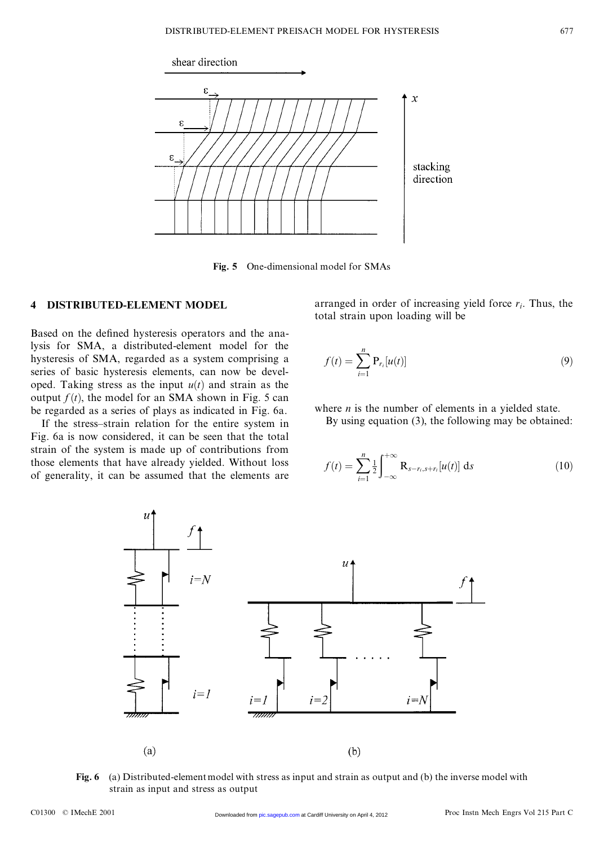

**Fig. 5** One-dimensional model for SMAs

#### **4 DISTRIBUTED-ELEMENT MODEL**

Based on the defined hysteresis operators and the ana-Based on the defined hysteresis operators and the ana-<br>lysis for SMA, a distributed-element model for the<br>hysteresis of SMA regarded as a system comprising a Based on the defined hysteresis operators and the ana-<br>lysis for SMA, a distributed-element model for the<br>hysteresis of SMA, regarded as a system comprising a<br>series of basic hysteresis elements, can now be develhysteresis of SMA, regarded as a system comprising a series of basic hysteresis elements, can now be develhysteresis of SMA, regarded as a system comprising a<br>series of basic hysteresis elements, can now be devel-<br>oped. Taking stress as the input  $u(t)$  and strain as the<br>output  $f(t)$  the model for an SMA shown in Fig. 5 can series of basic hysteresis elements, can now be devel-<br>oped. Taking stress as the input  $u(t)$  and strain as the<br>output  $f(t)$ , the model for an SMA shown in Fig. 5 can<br>be regarded as a series of plays as indicated in Fig. oped. Taking stress as the input  $u(t)$  and strain as the output  $f(t)$ , the model for an SMA shown in Fig. 5 can be regarded as a series of plays as indicated in Fig. 6a. If the stress-strain relation for the entire system If the stress strain relation for the entire system in relation for the entire system in  $\alpha$  for is now considered it can be seen that the total

If the stress-strain relation for the entire system in Fig. 6a is now considered, it can be seen that the total If the stress-strain relation for the entire system in<br>Fig. 6a is now considered, it can be seen that the total<br>strain of the system is made up of contributions from<br>those elements that have already yielded. Without loss Fig. 6a is now considered, it can be seen that the total<br>strain of the system is made up of contributions from<br>those elements that have already yielded. Without loss<br>of generality it can be assumed that the elements are those elements that have already yielded. Without loss of generality, it can be assumed that the elements are

arranged in order of increasing yield force  $r_i$ . Thus, the total strain upon loading will be arranged in order of increasing yiel<br>total strain upon loading will be

$$
f(t) = \sum_{i=1}^{n} \mathbf{P}_{r_i}[u(t)]
$$
\n(9)

where *n* is the number of elements in a yielded state.

By using equation (3), the following may be obtained:

$$
f(t) = \sum_{i=1}^{n} \frac{1}{2} \int_{-\infty}^{+\infty} \mathbf{R}_{s-r_i, s+r_i}[u(t)] \, \mathrm{d}s \tag{10}
$$



(a) Distributed-element model with str<br>strain as input and stress as output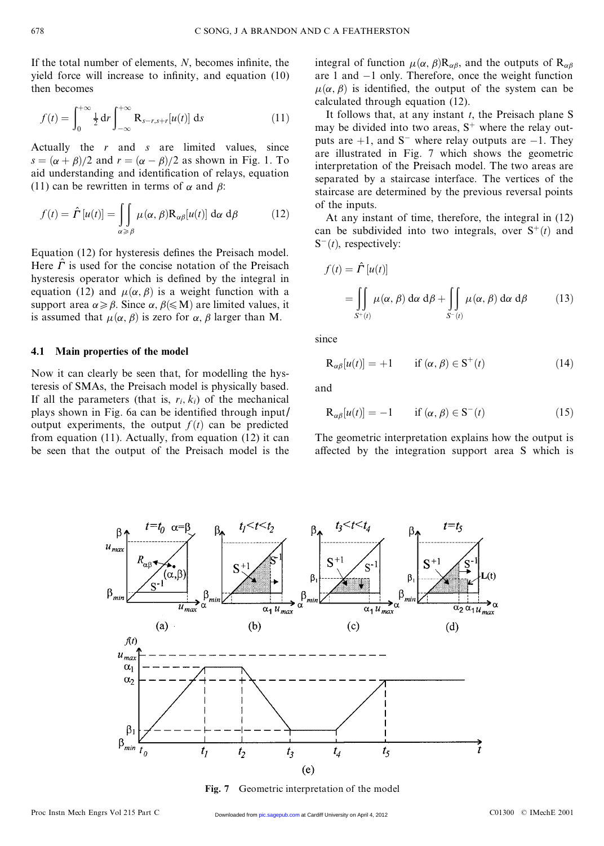If the total number of elements, *N*, becomes infinite, the set of elements, *N*, becomes infinite, the If the total number of elements,  $N$ , becomes infinite, the yield force will increase to infinity, and equation  $(10)$  then becomes If the total numl<br>yield force will<br>then becomes

$$
f(t) = \int_0^{+\infty} \frac{1}{2} dr \int_{-\infty}^{+\infty} R_{s-r,s+r}[u(t)] ds
$$
 (11)

 $Actually$  the *r* and *s* are limited values, since<br>  $A = \frac{(r+1)^2 + (r+1)^2}{r^2}$  and  $r = (r-1)^2 + (r-1)^2$  as shown in Fig. 1. To Actually the *r* and *s* are limited values, since  $s = (\alpha + \beta)/2$  and  $r = (\alpha - \beta)/2$  as shown in Fig. 1. To aid understanding and identification of relays, equation (11) can be rewritten in terms of  $\alpha$  and  $\beta$ . Actually the r and s are limited values, since  $s = (\alpha + \beta)/2$  and  $r = (\alpha - \beta)/2$  as shown in Fig. 1. To aid understanding and identification of relays, equation (11) can be rewritten in terms of  $\alpha$  and  $\beta$ .  $s = (\alpha + \beta)/2$  and  $r = (\alpha - \beta)/2$  as shown in<br>aid understanding and identification of relay<br>(11) can be rewritten in terms of  $\alpha$  and  $\beta$ : *(11)* can be rewritten in terms of  $\alpha$  and  $\beta$ :

1) can be rewritten in terms of 
$$
\alpha
$$
 and  $\beta$ :  
\n
$$
f(t) = \hat{\Gamma}[u(t)] = \iint_{\alpha \ge \beta} \mu(\alpha, \beta) R_{\alpha\beta}[u(t)] d\alpha d\beta \qquad (12)
$$

Equation (12) for hysteresis defines the Preisach model. Equation (12) for hysteresis defines the Preisach model.<br>Here  $\hat{\Gamma}$  is used for the concise notation of the Preisach<br>hysteresis operator which is defined by the integral in Equation (12) for hysteresis defines the Preisach model.<br>Here  $\hat{\Gamma}$  is used for the concise notation of the Preisach<br>hysteresis operator which is defined by the integral in<br>equation (12) and  $\mu(\alpha, \beta)$  is a weight funct hysteresis operator which is defined by the integral in equation (12) and  $\mu(\alpha, \beta)$  is a weight function with a support area  $\alpha \ge \beta$ . Since  $\alpha, \beta \le M$ ) are limited values, it hysteresis operator which is defined by the integral in equation (12) and  $\mu(\alpha, \beta)$  is a weight function with a support area  $\alpha \ge \beta$ . Since  $\alpha, \beta \le M$ ) are limited values, it is assumed that  $\mu(\alpha, \beta)$  is zero for  $\alpha, \$ equation (12) and  $\mu(\alpha, \beta)$  is a weight function with a support area  $\alpha \ge \beta$ . Since  $\alpha, \beta \le M$ ) are limited values, it is assumed that  $\mu(\alpha, \beta)$  is zero for  $\alpha, \beta$  larger than M.

#### **4.1 Main properties of the model**

**4.1 Main properties of the model**<br>Now it can clearly be seen that, for modelling the hys-<br>teresis of SMAs, the Preisach model is physically based Now it can clearly be seen that, for modelling the hys-<br>teresis of SMAs, the Preisach model is physically based.<br>If all the parameters (that is  $r_1(k_0)$  of the mechanical teresis of SMAs, the Preisach model is physically based.<br>If all the parameters (that is,  $r_i$ ,  $k_i$ ) of the mechanical teresis of SMAs, the Preisach model is physically based.<br>If all the parameters (that is,  $r_i$ ,  $k_i$ ) of the mechanical<br>plays shown in Fig. 6a can be identified through input/<br>output experiments, the output  $f(t)$  can be pr If all the parameters (that is,  $r_i$ ,  $k_i$ ) of the mechanical<br>plays shown in Fig. 6a can be identified through input/<br>output experiments, the output  $f(t)$  can be predicted<br>from equation (11) Actually from equation (12) it output experiments, the output  $f(t)$  can be predicted<br>from equation (11). Actually, from equation (12) it can<br>be seen that the output of the Preisach model is the from equation  $(11)$ . Actually, from equation  $(12)$  it can

integral of function  $\mu(\alpha, \beta)$  $\mathbf{R}_{\alpha\beta}$ , and the outputs of  $\mathbf{R}_{\alpha\beta}$ <br>are 1 and -1 only. Therefore, once the weight function integral of function  $\mu(\alpha, \beta)$ R<sub> $\alpha\beta$ </sub>, and the outputs of R<sub> $\alpha\beta$ </sub> are 1 and -1 only. Therefore, once the weight function  $\mu(\alpha, \beta)$  is identified, the output of the system can be integral of function  $\mu(\alpha, \beta)$ **R**<sub> $\alpha\beta$ </sub>, and the outputs of **R**<sub> $\alpha\beta$ </sub> are 1 and -1 only. Therefore, once the weight function  $\mu(\alpha, \beta)$  is identified, the output of the system can be calculated through equation (12) are 1 and  $-1$  only. Therefore, once the weight function  $\mu(\alpha, \beta)$  is identified, the output of the system can be calculated through equation (12).

It follows that, at any instant *<sup>t</sup>*, the Preisach plane S may be divided into two areas,  $S^+$  where the relay outputs are  $+1$ , and S<sup>-</sup> where relay outputs are  $-1$ . They may be divided into two areas,  $S^+$  where the relay out-<br>puts are  $+1$ , and  $S^-$  where relay outputs are  $-1$ . They<br>are illustrated in Fig. 7 which shows the geometric<br>interpretation of the Preisach model. The two areas puts are  $+1$ , and  $S^-$  where relay outputs are  $-1$ . They<br>are illustrated in Fig. 7 which shows the geometric<br>interpretation of the Preisach model. The two areas are<br>separated by a staircase interface. The vertices of th are illustrated in Fig. 7 which shows the geometric<br>interpretation of the Preisach model. The two areas are<br>separated by a staircase interface. The vertices of the<br>staircase are determined by the previous reversal points interpretation of the Preisach model. The two areas are separated by a staircase interface. The vertices of the staircase are determined by the previous reversal points of the innuts staircase are determined by the previous reversal points of the inputs. Fraction are determined by the previous reversal points<br>the inputs.<br>At any instant of time, therefore, the integral in (12)<br>n be subdivided into two integrals over  $S^+(t)$  and

of the inputs.<br>At any instant of time, therefore, the integral in (12)<br>can be subdivided into two integrals, over  $S^+(t)$  and<br> $S^-(t)$  respectively: At any instant of<br>can be subdivided i<br>S<sup>-</sup>(*t*), respectively:

$$
f(t) = \hat{\Gamma}[u(t)]
$$
  
\n
$$
= \iint_{S^+(t)} \mu(\alpha, \beta) d\alpha d\beta + \iint_{S^-(t)} \mu(\alpha, \beta) d\alpha d\beta
$$
 (13)

since

$$
\begin{aligned}\n\text{R}_{\alpha\beta}[u(t)] &= +1 \qquad \text{if } (\alpha, \beta) \in \mathbf{S}^+(t) \tag{14} \n\end{aligned}
$$

and

d  
\n
$$
\mathbf{R}_{\alpha\beta}[u(t)] = -1 \quad \text{if } (\alpha, \beta) \in \mathbf{S}^{-}(t) \tag{15}
$$
\nthe geometric interpretation explains how the output is

 $R_{\alpha\beta}[u(t)] = -1$  if  $(\alpha, \beta) \in S^{-}(t)$  (15)<br>The geometric interpretation explains how the output is<br>affected by the integration support area S which is The geometric interpretation explains how the output is affected by the integration support area S which is

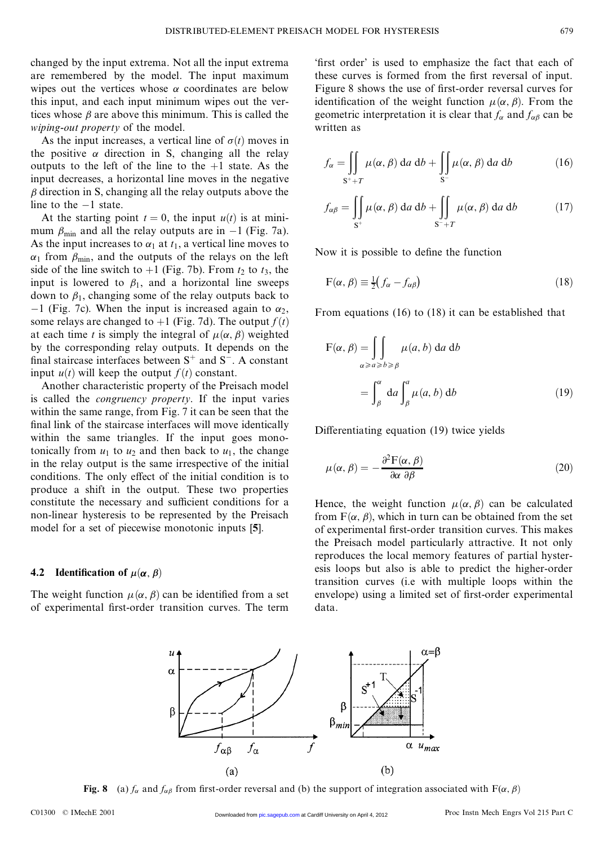changed by the input extrema. Not all the input extrema<br>are remembered by the model. The input maximum changed by the input extrema. Not all the input extrema<br>are remembered by the model. The input maximum<br>wipes out the vertices whose  $\alpha$  coordinates are below are remembered by the model. The input maximum wipes out the vertices whose  $\alpha$  coordinates are below this input, and each input minimum wipes out the verwipes out the vertices whose  $\alpha$  coordinates are below wipes out the vertices whose  $\alpha$  coordinates are below<br>this input, and each input minimum wipes out the ver-<br>tices whose  $\beta$  are above this minimum. This is called the<br>wining-out property of the model this input, and each input minimure<br>tices whose  $\beta$  are above this minimure<br>*wiping-out property* of the model.<br>As the input increases a vertical

*Wiping-out property* of the model.<br>As the input increases, a vertical line of  $\sigma(t)$  moves in *wiping-out property* of the model.<br>As the input increases, a vertical line of  $\sigma(t)$  moves in<br>the positive  $\alpha$  direction in S, changing all the relay<br>outputs to the left of the line to the +1 state. As the As the input increases, a vertical line of  $\sigma(t)$  moves in<br>the positive  $\alpha$  direction in S, changing all the relay<br>outputs to the left of the line to the +1 state. As the<br>input decreases a horizontal line moves in the ne outputs to the left of the line to the  $+1$  state. As the input decreases, a horizontal line moves in the negative  $\beta$  direction in S, changing all the relay outputs above the line to the  $-1$  state.  $\beta$  direction in S, changing all the relay outputs above the

At the starting point  $t = 0$ , the input  $u(t)$  is at miniline to the -1 state.<br>At the starting point  $t = 0$ , the input  $u(t)$  is at mini-<br>mum  $\beta_{\text{min}}$  and all the relay outputs are in -1 (Fig. 7a).<br>As the input increases to  $\alpha$ , at  $t_1$ , a vertical line moves to At the starting point  $t = 0$ , the input  $u(t)$  is at mini-<br>mum  $\beta_{\text{min}}$  and all the relay outputs are in  $-1$  (Fig. 7a).<br>As the input increases to  $\alpha_1$  at  $t_1$ , a vertical line moves to  $\alpha_1$  from  $\beta_{\text{min}}$ , and the As the input increases to  $\alpha_1$  at  $t_1$ , a vertical line moves to  $\alpha_1$  from  $\beta_{\text{min}}$ , and the outputs of the relays on the left side of the line switch to +1 (Fig. 7b). From  $t_2$  to  $t_3$ , the input is lowered to  $\beta_1$ , and a horizontal line sweeps down to  $\beta_1$ , changing some of the relay outputs back to side of the line switch to +1 (Fig. 7b). From  $t_2$  to  $t_3$ , the<br>input is lowered to  $\beta_1$ , and a horizontal line sweeps<br>down to  $\beta_1$ , changing some of the relay outputs back to<br>-1 (Fig. 7c). When the input is increas , down to  $\beta_1$ , changing some of the relay outputs back to  $-1$  (Fig. 7c). When the input is increased again to  $\alpha_2$ , some relays are changed to  $+1$  (Fig. 7d). The output  $f(t)$  at each time t is simply the integral of some relays are changed to +1 (Fig. 7d). The output  $f(t)$  at each time *t* is simply the integral of  $\mu(\alpha, \beta)$  weighted some relays are changed to +1 (Fig. 7d). The output  $f(t)$  at each time t is simply the integral of  $\mu(\alpha, \beta)$  weighted<br>by the corresponding relay outputs. It depends on the<br>final staircase interfaces between  $S^+$  and  $S^$ at each time t is simply the integral of  $\mu(\alpha, \beta)$  weighted<br>by the corresponding relay outputs. It depends on the<br>final staircase interfaces between S<sup>+</sup> and S<sup>-</sup>. A constant<br>input  $\mu(t)$  will keen the output  $f(t)$  const final staircase interfaces between  $S^+$  and  $S^-$ . A constant input  $u(t)$  will keep the output  $f(t)$  constant.

Another characteristic property of the Preisach model input  $u(t)$  will keep the output  $f(t)$  constant.<br>Another characteristic property of the Preisach model<br>is called the *congruency property*. If the input varies<br>within the same range from Eig 7 it can be seen that the Another characteristic property of the Preisach model<br>is called the *congruency property*. If the input varies<br>within the same range, from Fig. 7 it can be seen that the<br>final link of the staircase interfaces will move ide within the same range, from Fig. 7 it can be seen that the final link of the staircase interfaces will move identically within the same triangles. If the input goes monotonically from  $u_1$  to  $u_2$  and then back to  $u_1$ , the change<br>in the relay output is the same irrespective of the initial<br>conditions. The only effect of the initial condition is to in the relay output is the same irrespective of the initial in the relay output is the same irrespective of the initial conditions. The only effect of the initial condition is to produce a shift in the output. These two properties constitute the necessary and sufficient conditions conditions. The only effect of the initial condition is to produce a shift in the output. These two properties constitute the necessary and sufficient conditions for a non-linear hysteresis to be represented by the Prejaac produce a shift in the output. These two properties<br>constitute the necessary and sufficient conditions for a<br>non-linear hysteresis to be represented by the Preisach<br>model for a set of piecewise monotonic inputs [5] constitute the necessary and sufficient conditions for non-linear hysteresis to be represented by the Preis model for a set of piecewise monotonic inputs [**5**].

#### **4.2** Identification of  $\mu(\alpha, \beta)$

The weight function  $\mu(\alpha, \beta)$  can be identified from a set

<sup>1</sup><br>
"first order" is used to emphasize the fact that each of<br>
these curves is formed from the first reversal of input "first order" is used to emphasize the fact that each of these curves is formed from the first reversal of input.<br>Figure 8 shows the use of first-order reversal curves for these curves is formed from the first reversal of input.<br>Figure 8 shows the use of first-order reversal curves for<br>identification of the weight function  $\mu(\alpha, \beta)$ . From the Figure 8 shows the use of first-order reversal curves for Figure 8 shows the use of first-order reversal curves for identification of the weight function  $\mu(\alpha, \beta)$ . From the geometric interpretation it is clear that  $f_{\alpha}$  and  $f_{\alpha\beta}$  can be written as identification<br>geometric int<br>written as

$$
f_{\alpha} = \iint\limits_{S^{+}+T} \mu(\alpha, \beta) \, da \, db + \iint\limits_{S^{-}} \mu(\alpha, \beta) \, da \, db \tag{16}
$$

$$
s^{+}+T
$$
  

$$
f_{\alpha\beta} = \iint_{S^{+}} \mu(\alpha, \beta) da db + \iint_{S^{-}+T} \mu(\alpha, \beta) da db
$$
 (17)

 $s^{+}$   $s^{-}+T$ <br>Now it is possible to define the function

ow it is possible to define the function  
\n
$$
F(\alpha, \beta) \equiv \frac{1}{2} (f_{\alpha} - f_{\alpha\beta})
$$
\n(18)

From equations (16) to (18) it can be established that

$$
F(\alpha, \beta) = \iint_{\alpha \ge a \ge b \ge \beta} \mu(a, b) \, da \, db
$$

$$
= \int_{\beta}^{\alpha} da \int_{\beta}^{a} \mu(a, b) \, db \tag{19}
$$

 $J_{\beta}$   $J_{\beta}$ <br>Differentiating equation (19) twice yields

interentiating equation (19) twice yields

\n
$$
\mu(\alpha, \beta) = -\frac{\partial^2 F(\alpha, \beta)}{\partial \alpha \partial \beta}
$$
\n(20)

The weight function  $\mu(\alpha, \beta)$  can be identified from a set envelope) using a limited set of first-order experimental of experimental first-order transition curves. The term data.  $\frac{\partial \alpha}{\partial \beta}$ <br>Hence, the weight function  $\mu(\alpha, \beta)$  can be calculated<br>from  $F(\alpha, \beta)$  which in turn can be obtained from the set Hence, the weight function  $\mu(\alpha, \beta)$  can be calculated<br>from  $F(\alpha, \beta)$ , which in turn can be obtained from the set<br>of experimental first order transition curves. This makes from  $F(\alpha, \beta)$ , which in turn can be obtained from the set of experimental first-order transition curves. This makes from  $F(\alpha, \beta)$ , which in turn can be obtained from the set<br>of experimental first-order transition curves. This makes<br>the Preisach model particularly attractive. It not only<br>reproduces the local memory features of partial of experimental first-order transition curves. This makes<br>the Preisach model particularly attractive. It not only<br>reproduces the local memory features of partial hyster-<br>esis loops but also is able to predict the higher-or the Preisach model particularly attractive. It not only<br>reproduces the local memory features of partial hyster-<br>esis loops but also is able to predict the higher-order<br>transition curves (i.e. with multiple loops within the reproduces the local memory features of partial hyster-<br>esis loops but also is able to predict the higher-order<br>transition curves (i.e with multiple loops within the<br>envelope) using a limited set of first-order experimenta transition curves (i.e with multiple loops within the data.

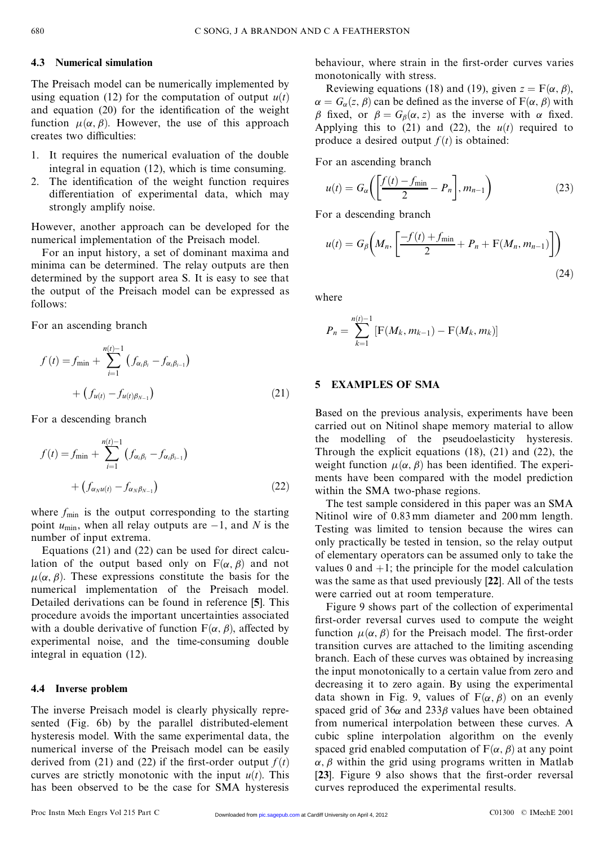#### **4.3 Numerical simulation**

The Preisach model can be numerically implemented by The Preisach model can be numerically implemented by using equation (12) for the computation of output  $u(t)$  and equation (20) for the identification of the weight The Preisach model can be numerically implemented by<br>using equation (12) for the computation of output  $u(t)$ <br>and equation (20) for the identification of the weight<br>function  $u(\alpha, \beta)$ . However, the use of this approach and equation (20) for the identification of the weight function  $\mu(\alpha, \beta)$ . However, the use of this approach creates two difficulties: function  $\mu(\alpha, \beta)$ . However, the use of this approach

- 1. It requires the numerical evaluation of the double integral in equation (12), which is time consuming. 2. It requires the numerical evaluation of the double<br>integral in equation  $(12)$ , which is time consuming.<br>2. The identification of the weight function requires<br>differentiation of experimental data which may
- integral in equation (12), which is time consuming.<br>The identification of the weight function requires<br>differentiation of experimental data, which may<br>strongly amplify noise differentiation of experimental data, which may strongly amplify noise.

Strongly amplify noise.<br>However, another approach can be developed for the<br>numerical implementation of the Preisach model Exercisely amplies the developed for<br>
However, another approach can be developed for<br>
numerical implementation of the Preisach model.<br>
For an input history a set of dominant maxima

numerical implementation of the Preisach model.<br>For an input history, a set of dominant maxima and numerical implementation of the Preisach model.<br>For an input history, a set of dominant maxima and<br>minima can be determined. The relay outputs are then<br>determined by the support area S. It is easy to see that For an input history, a set of dominant maxima and<br>minima can be determined. The relay outputs are then<br>determined by the support area S. It is easy to see that<br>the output of the Preisach model can be expressed as determined by the support area S. It is easy to see that the output of the Preisach model can be expressed as follows:

For an ascending branch

$$
f(t) = f_{\min} + \sum_{i=1}^{n(t)-1} (f_{\alpha_i \beta_i} - f_{\alpha_i \beta_{i-1}})
$$

$$
+ (f_{u(t)} - f_{u(t)\beta_{N-1}})
$$
(21)

For a descending branch

$$
f(t) = f_{\min} + \sum_{i=1}^{n(t)-1} (f_{\alpha_i \beta_i} - f_{\alpha_i \beta_{i-1}})
$$

$$
+ (f_{\alpha_N u(t)} - f_{\alpha_N \beta_{N-1}})
$$
(22)

where  $f_{\text{min}}$  is the output corresponding to the starting where  $f_{\text{min}}$  is the output corresponding to the starting<br>point  $u_{\text{min}}$ , when all relay outputs are  $-1$ , and *N* is the<br>number of input extrema where  $f_{\text{min}}$  is the output co<br>point  $u_{\text{min}}$ , when all relay o<br>number of input extrema.<br>Equations (21) and (22) c number of input extrema.<br>Equations (21) and (22) can be used for direct calcu-

number of input extrema.<br>
Equations (21) and (22) can be used for direct calculation of the output based only on  $F(\alpha, \beta)$  and not  $\mu(\alpha, \beta)$ . These expressions constitute the basis for the Equations (21) and (22) can be used for direct calculation of the output based only on  $F(\alpha, \beta)$  and not  $\mu(\alpha, \beta)$ . These expressions constitute the basis for the numerical implementation of the Preisach model  $\mu(\alpha, \beta)$ . These expressions constitute the basis for the numerical implementation of the Preisach model.<br>Detailed derivations can be found in reference [5]. This numerical implementation of the Preisach model. numerical implementation of the Preisach model.<br>Detailed derivations can be found in reference [5]. This<br>procedure avoids the important uncertainties associated<br>with a double derivative of function  $F(\alpha, \beta)$  affected by Detailed derivations can be found in reference [5]. This<br>procedure avoids the important uncertainties associated<br>with a double derivative of function  $F(\alpha, \beta)$ , affected by<br>experimental, noise, and, the time consuming dou with a double derivative of function  $F(\alpha, \beta)$ , affected by experimental noise, and the time-consuming double integral in equation (12). experimental noise, and the time-consuming double

#### **4.4 Inverse problem**

The inverse Preisach model is clearly physically repre-The inverse Preisach model is clearly physically represented (Fig. 6b) by the parallel distributed-element<br>hysteresis model With the same experimental data, the The inverse Preisach model is clearly physically represented (Fig. 6b) by the parallel distributed-element hysteresis model. With the same experimental data, the numerical inverse of the Preisach model can be easily hysteresis model. With the same experimental data, the numerical inverse of the Preisach model can be easily hysteresis model. With the same experimental data, the numerical inverse of the Preisach model can be easily derived from (21) and (22) if the first-order output  $f(t)$  curves are strictly monotonic with the input  $y(t)$ . T numerical inverse of the Preisach model can be easily<br>derived from (21) and (22) if the first-order output  $f(t)$ <br>curves are strictly monotonic with the input  $u(t)$ . This<br>has been observed to be the case for SMA hysteresis derived from (21) and (22) if the first-order output  $f(t)$  curves are strictly monotonic with the input  $u(t)$ . This has been observed to be the case for SMA hysteresis

 $b$ e  $\lambda$  references to  $\lambda$ . behaviour, where strain in  $\frac{1}{2}$  monotonically with stress.<br>Reviewing equations (18)

behaviour, where strain in the first-order curves varies<br>monotonically with stress.<br>Reviewing equations (18) and (19), given  $z = F(\alpha, \beta)$ ,<br> $\alpha = G_{\alpha}(z, \beta)$  can be defined as the inverse of  $F(\alpha, \beta)$  with<br> $\beta$  fixed or  $\beta = G$ Reviewing equations (18) and (19), given  $z = F(\alpha, \beta)$ ,<br>  $\alpha = G_{\alpha}(z, \beta)$  can be defined as the inverse of  $F(\alpha, \beta)$  with<br>  $\beta$  fixed, or  $\beta = G_{\beta}(\alpha, z)$  as the inverse with  $\alpha$  fixed.<br>
Applying this to (21) and (22) the *u*  $\beta$  fixed, or  $\beta = G_{\beta}(\alpha, z)$  as the inverse with  $\alpha$  fixed. Applying this to  $(21)$  and  $(22)$ , the  $u(t)$  required to produce a desired output  $f(t)$  is obtained:

For an ascending branch  
\n
$$
u(t) = G_{\alpha} \left( \left[ \frac{f(t) - f_{\min}}{2} - P_n \right], m_{n-1} \right)
$$
\nFor a descending branch\n
$$
u(t) = \left[ \frac{f(t)}{2} - P_n \right], m_{n-1} \tag{23}
$$

or a descending branch  
\n
$$
u(t) = G_{\beta}\left(M_n, \left[\frac{-f(t) + f_{\min}}{2} + P_n + F(M_n, m_{n-1})\right]\right)
$$
\n(24)

where

Here  

$$
P_n = \sum_{k=1}^{n(t)-1} [F(M_k, m_{k-1}) - F(M_k, m_k)]
$$

#### **5 EXAMPLES OF SMA**

S EXAMPLES OF SMA<br>Based on the previous analysis, experiments have been<br>carried out on Nitinol shape memory material to allow Based on the previous analysis, experiments have been<br>carried out on Nitinol shape memory material to allow<br>the modelling of the pseudoelasticity hysteresis Based on the previous analysis, experiments have been<br>carried out on Nitinol shape memory material to allow<br>the modelling of the pseudoelasticity hysteresis.<br>Through the explicit equations (18) (21) and (22) the carried out on Nitinol shape memory material to allow<br>the modelling of the pseudoelasticity hysteresis.<br>Through the explicit equations (18), (21) and (22), the<br>weight function  $u(\alpha, \beta)$  has been identified. The experi-Through the explicit equations  $(18)$ ,  $(21)$  and  $(22)$ , the weight function  $\mu(\alpha, \beta)$  has been identified. The experiments have been compared with the model prediction within the SMA two-phase regions. ments have been compared with the model prediction ents have been compared with the model prediction<br>thin the SMA two-phase regions.<br>The test sample considered in this paper was an SMA<br>tinol wire of 0.83mm diameter and 200mm length

within the SMA two-phase regions.<br>The test sample considered in this paper was an SMA<br>Nitinol wire of 0.83 mm diameter and 200 mm length.<br>Testing was limited to tension because the wires can Nitinol wire of 0.83 mm diameter and 200 mm length.<br>Testing was limited to tension because the wires can Nitinol wire of 0.83 mm diameter and 200 mm length.<br>Testing was limited to tension because the wires can<br>only practically be tested in tension, so the relay output<br>of elementary operators can be assumed only to take the Testing was limited to tension because the wires can<br>only practically be tested in tension, so the relay output<br>of elementary operators can be assumed only to take the<br>values 0 and  $\pm 1$ ; the principle for the model calc only practically be tested in tension, so the relay output<br>of elementary operators can be assumed only to take the<br>values 0 and  $+1$ ; the principle for the model calculation<br>was the same as that used previously [22]. All of elementary operators can be assumed only to take the values  $0$  and  $+1$ ; the principle for the model calculation was the same as that used previously [22]. All of the tests were carried out at room temperature was the same as that used previously [22]. All of the tests were carried out at room temperature. In the same as that used previously [22]. All of the tests<br>Figure 9 shows part of the collection of experimental<br>st-order reversal curves used to compute the weight

were carried out at room temperature.<br>
Figure 9 shows part of the collection of experimental<br>
first-order reversal curves used to compute the weight<br>
function  $\mu(\alpha, \beta)$  for the Prejaach model. The first-order Figure 9 shows part of the collection of experimental<br>first-order reversal curves used to compute the weight<br>function  $\mu(\alpha, \beta)$  for the Preisach model. The first-order<br>transition curves are attached to the limiting ascen first-order reversal curves used to compute the weight<br>function  $\mu(\alpha, \beta)$  for the Preisach model. The first-order<br>transition curves are attached to the limiting ascending<br>branch. Each of these curves was obtained by incr function  $\mu(\alpha, \beta)$  for the Preisach model. The first-order<br>transition curves are attached to the limiting ascending<br>branch. Each of these curves was obtained by increasing<br>the input monotonically to a certain value from transition curves are attached to the limiting ascending<br>branch. Each of these curves was obtained by increasing<br>the input monotonically to a certain value from zero and<br>decreasing it to zero again. By using the experiment branch. Each of these curves was obtained by increasing<br>the input monotonically to a certain value from zero and<br>decreasing it to zero again. By using the experimental<br>data shown in Fig. 9, values of  $F(\alpha, \beta)$  on an evenl the input monotonically to a certain value from zero and<br>decreasing it to zero again. By using the experimental<br>data shown in Fig. 9, values of  $F(\alpha, \beta)$  on an evenly<br>spaced grid of 36 $\alpha$  and 2338 values have been obtain decreasing it to zero again. By using the experimental<br>data shown in Fig. 9, values of  $F(\alpha, \beta)$  on an evenly<br>spaced grid of 36 $\alpha$  and 233 $\beta$  values have been obtained<br>from numerical internalation between these curves. data shown in Fig. 9, values of  $F(\alpha, \beta)$  on an evenly<br>spaced grid of  $36\alpha$  and  $233\beta$  values have been obtained<br>from numerical interpolation between these curves. A<br>cubic spline interpolation algorithm on the evenly from numerical interpolation between these curves. A cubic spline interpolation algorithm on the evenly spaced grid enabled computation of  $F(\alpha, \beta)$  at any point cubic spline interpolation algorithm on the evenly<br>spaced grid enabled computation of  $F(\alpha, \beta)$  at any point  $\alpha, \beta$  within the grid using programs written in Matlab<br>[23]. Figure 9, also shows that the first-order reversa spaced grid enabled computation of  $F(\alpha, \beta)$  at any point  $\alpha, \beta$  within the grid using programs written in Matlab [23]. Figure 9 also shows that the first-order reversal curves reproduced the experimental results [23]. Figure 9 also shows that the first-order reversal curves reproduced the experimental results.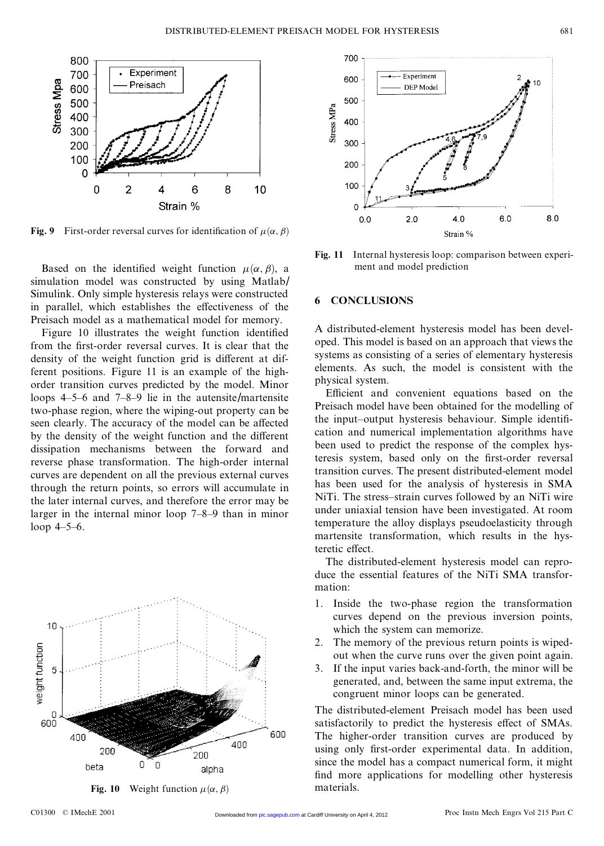

Based on the identified weight function  $\mu(\alpha, \beta)$ , a simulation model was constructed by using Matlab/ Based on the identified weight function  $\mu(\alpha, \beta)$ , a simulation model was constructed by using Matlab/<br>Simulink. Only simple hysteresis relays were constructed<br>in parallel which establishes the effectiveness of the simulation model was constructed by using Matlab/<br>Simulink. Only simple hysteresis relays were constructed<br>in parallel, which establishes the effectiveness of the<br>Preisach model as a mathematical model for memory Simulink. Only simple hysteresis relays were constructed<br>in parallel, which establishes the effectiveness of the<br>Preisach model as a mathematical model for memory.<br>Figure 10 illustrates the weight function identified parallel, which establishes the effectiveness of the<br>eisach model as a mathematical model for memory.<br>Figure 10 illustrates the weight function identified<br>on the first-order reversal curves. It is clear that the

Figure 10 illustrates the weight function identified from the first-order reversal curves. It is clear that the Figure 10 illustrates the weight function identified<br>from the first-order reversal curves. It is clear that the<br>density of the weight function grid is different at dif-<br>ferent positions. Figure 11 is an example of the high from the first-order reversal curves. It is clear that the density of the weight function grid is different at different positions. Figure 11 is an example of the high-order transition curves predicted by the model Minor density of the weight function grid is different at different positions. Figure 11 is an example of the high-<br>order transition curves predicted by the model. Minor<br>loops  $4-5-6$  and  $7-8-9$  lie in the autensite/martensite ferent positions. Figure 11 is an example of the high-<br>order transition curves predicted by the model. Minor<br>loops 4-5-6 and 7-8-9 lie in the autensite/martensite<br>two-phase region where the wining-out property can be order transition curves predicted by the model. Minor<br>loops 4–5–6 and 7–8–9 lie in the autensite/martensite<br>two-phase region, where the wiping-out property can be<br>seen clearly. The accuracy of the model can be affected loops 4–5–6 and 7–8–9 lie in the autensite/martensite<br>two-phase region, where the wiping-out property can be<br>seen clearly. The accuracy of the model can be affected<br>by the density of the weight function and the different seen clearly. The accuracy of the model can be affected<br>by the density of the weight function and the different seen clearly. The accuracy of the model can be affected<br>by the density of the weight function and the different<br>dissipation mechanisms between the forward and<br>reverse phase transformation. The high-order internal by the density of the weight function and the different<br>dissipation mechanisms between the forward and<br>reverse phase transformation. The high-order internal<br>curves are dependent on all the previous external curves reverse phase transformation. The high-order internal curves are dependent on all the previous external curves<br>through the return points, so errors will accumulate in<br>the later internal curves, and therefore the error may be through the return points, so errors will accumulate in through the return points, so errors will accumulate in<br>the later internal curves, and therefore the error may be<br>larger in the internal minor loop  $7-8-9$  than in minor<br>loop  $4-5-6$ the later inter<br>larger in the<br>loop 4–5–6.





Internal hysteresis loop: compa<br>ment and model prediction

#### **6 CONCLUSIONS**

6 CONCLUSIONS<br>A distributed-element hysteresis model has been devel-<br>oned This model is based on an approach that views the A distributed-element hysteresis model has been devel-<br>oped. This model is based on an approach that views the<br>systems as consisting of a series of elementary hysteresis oped. This model is based on an approach that views the systems as consisting of a series of elementary hysteresis oped. This model is based on an approach that views the<br>systems as consisting of a series of elementary hysteresis<br>elements. As such, the model is consistent with the<br>physical system systems as consistiel<br>elements. As such<br>physical system.<br>Efficient and c expected is consistent with the ysical system.<br>Efficient and convenient equations based on the<br>eisach model have been obtained for the modelling of

physical system.<br>
Efficient and convenient equations based on the<br>
Preisach model have been obtained for the modelling of<br>
the input-output hysteresis behaviour Simple identifi-Preisach model have been obtained for the modelling of the input-output hysteresis behaviour. Simple identifi-Preisach model have been obtained for the modelling of<br>the input-output hysteresis behaviour. Simple identifi-<br>cation and numerical implementation algorithms have<br>been used to predict the response of the complex hysthe input-output hysteresis behaviour. Simple identification and numerical implementation algorithms have<br>been used to predict the response of the complex hys-<br>teresis system, based only on the first-order reversal cation and numerical implementation algorithms have<br>been used to predict the response of the complex hys-<br>teresis system, based only on the first-order reversal<br>transition curves. The present distributed-element model been used to predict the response of the complex hysteresis system, based only on the first-order reversal transition curves. The present distributed-element model has been used for the analysis of hysteresis in SMA transition curves. The present distributed-element model<br>has been used for the analysis of hysteresis in SMA transition curves. The present distributed-element model<br>has been used for the analysis of hysteresis in SMA<br>NiTi. The stress-strain curves followed by an NiTi wire<br>under uniaxial tension have been investigated. At room has been used for the analysis of hysteresis in SMA<br>NiTi. The stress-strain curves followed by an NiTi wire<br>under uniaxial tension have been investigated. At room<br>temperature the alloy displays pseudoelasticity through under uniaxial tension have been investigated. At room temperature the alloy displays pseudoelasticity through martensite transformation, which results in the hysteretic effect. martensite transformation, which results in the hys-

The distributed-element hysteresis model can reproduce the essential features of the NiTi SMA transformation:

- 1. Inside the two-phase region the transformation curves depend on the previous inversion points, which the system can memorize. curves depend on the previous inversion points,<br>which the system can memorize.<br>2. The memory of the previous return points is wiped-<br>out when the curve runs over the given point again
- which the system can memorize.<br>The memory of the previous return points is wiped-<br>out when the curve runs over the given point again.<br>If the input varies back-and-forth, the minor will be 2. The memory of the previous return points is wiped-<br>out when the curve runs over the given point again.<br>3. If the input varies back-and-forth, the minor will be<br>generated, and, between the same input extrema, the
- If the input varies back-and-forth, the minor will be congruent minor loops can be generated.

The distributed-element Preisach model has been used congruent minor loops can be generated.<br>The distributed-element Preisach model has been used<br>satisfactorily to predict the hysteresis effect of SMAs.<br>The higher-order transition curves are produced by The distributed-element Preisach model has been used<br>satisfactorily to predict the hysteresis effect of SMAs.<br>The higher-order transition curves are produced by<br>using only first-order experimental data. In addition The higher-order transition curves are produced by using only first-order experimental data. In addition, since the model has a compact numerical form, it might find more applications for modelling other hysteresis since the model has a compact numerical form, it might materials.